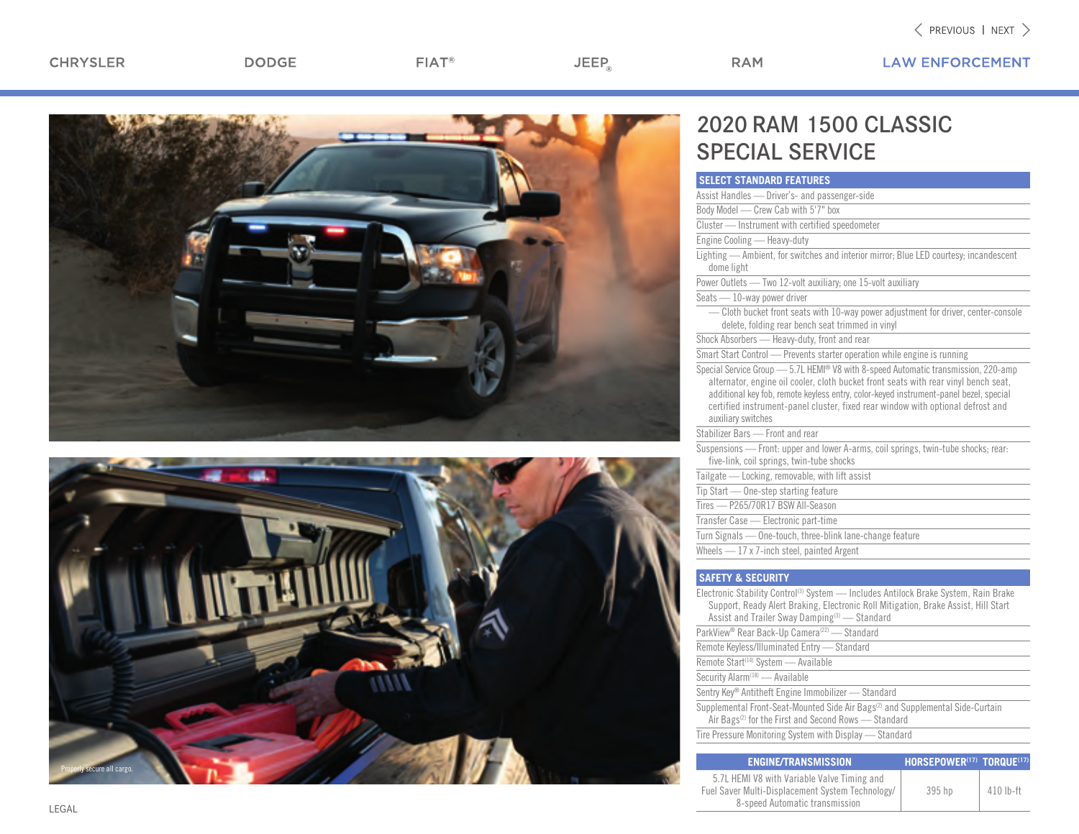$JEEP_{\circledcirc}$ 

**LAW ENFORCEMENT** 





## 2020 RAM 1500 CLASSIC SPECIAL SERVICE

**RAM** 

| <b>SELECT STANDARD FEATURES</b>                 |                                                                                                                                                                                                                                                                                                                                                       |
|-------------------------------------------------|-------------------------------------------------------------------------------------------------------------------------------------------------------------------------------------------------------------------------------------------------------------------------------------------------------------------------------------------------------|
|                                                 | Assist Handles - Driver's- and passenger-side                                                                                                                                                                                                                                                                                                         |
| Body Model - Crew Cab with 5'7" box             |                                                                                                                                                                                                                                                                                                                                                       |
|                                                 | Cluster - Instrument with certified speedometer                                                                                                                                                                                                                                                                                                       |
| Engine Cooling - Heavy-duty                     |                                                                                                                                                                                                                                                                                                                                                       |
| dome light                                      | Lighting - Ambient, for switches and interior mirror; Blue LED courtesy; incandescent                                                                                                                                                                                                                                                                 |
|                                                 | Power Outlets - Two 12-volt auxiliary; one 15-volt auxiliary                                                                                                                                                                                                                                                                                          |
| Seats - 10-way power driver                     |                                                                                                                                                                                                                                                                                                                                                       |
|                                                 | - Cloth bucket front seats with 10-way power adjustment for driver, center-console<br>delete, folding rear bench seat trimmed in vinyl                                                                                                                                                                                                                |
|                                                 | Shock Absorbers - Heavy-duty, front and rear                                                                                                                                                                                                                                                                                                          |
|                                                 | Smart Start Control - Prevents starter operation while engine is running                                                                                                                                                                                                                                                                              |
| auxiliary switches                              | Special Service Group - 5.7L HEMI® V8 with 8-speed Automatic transmission, 220-amp<br>alternator, engine oil cooler, cloth bucket front seats with rear vinyl bench seat,<br>additional key fob, remote keyless entry, color-keyed instrument-panel bezel, special<br>certified instrument-panel cluster, fixed rear window with optional defrost and |
| Stabilizer Bars - Front and rear                |                                                                                                                                                                                                                                                                                                                                                       |
|                                                 | Suspensions - Front: upper and lower A-arms, coil springs, twin-tube shocks; rear:<br>five-link, coil springs, twin-tube shocks                                                                                                                                                                                                                       |
|                                                 | Tailgate - Locking, removable, with lift assist                                                                                                                                                                                                                                                                                                       |
| Tip Start - One-step starting feature           |                                                                                                                                                                                                                                                                                                                                                       |
| Tires - P265/70R17 BSW All-Season               |                                                                                                                                                                                                                                                                                                                                                       |
| Transfer Case - Electronic part-time            |                                                                                                                                                                                                                                                                                                                                                       |
|                                                 | Turn Signals - One-touch, three-blink lane-change feature                                                                                                                                                                                                                                                                                             |
| Wheels - 17 x 7-inch steel, painted Argent      |                                                                                                                                                                                                                                                                                                                                                       |
|                                                 |                                                                                                                                                                                                                                                                                                                                                       |
| <b>SAFETY &amp; SECURITY</b>                    |                                                                                                                                                                                                                                                                                                                                                       |
|                                                 | Electronic Stability Control <sup>(3)</sup> System - Includes Antilock Brake System, Rain Brake<br>Support, Ready Alert Braking, Electronic Roll Mitigation, Brake Assist, Hill Start<br>Assist and Trailer Sway Damping <sup>(3)</sup> - Standard                                                                                                    |
|                                                 | ParkView <sup>®</sup> Rear Back-Up Camera <sup>(22)</sup> - Standard                                                                                                                                                                                                                                                                                  |
|                                                 | Remote Keyless/Illuminated Entry - Standard                                                                                                                                                                                                                                                                                                           |
| Remote Start <sup>(14)</sup> System - Available |                                                                                                                                                                                                                                                                                                                                                       |
| Security Alarm <sup>(18)</sup> - Available      |                                                                                                                                                                                                                                                                                                                                                       |
|                                                 | Sentry Key® Antitheft Engine Immobilizer - Standard                                                                                                                                                                                                                                                                                                   |

Supplemental Front-Seat-Mounted Side Air Bags<sup>(2)</sup> and Supplemental Side-Curtain Air Bags<sup>(2)</sup> for the First and Second Rows - Standard

Tire Pressure Monitoring System with Display — Standard

| <b>ENGINE/TRANSMISSION</b>                                                                                                        | $HORSEPOWER^{(17)}$ torque(17) |           |
|-----------------------------------------------------------------------------------------------------------------------------------|--------------------------------|-----------|
| 5.7L HEMI V8 with Variable Valve Timing and<br>Fuel Saver Multi-Displacement System Technology/<br>8-speed Automatic transmission | 395 hp                         | 410 lb-ft |